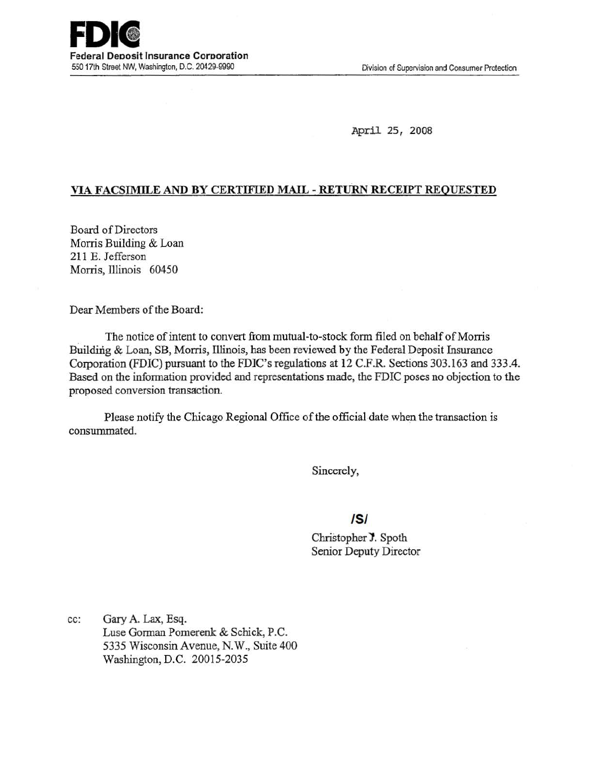April 25, 2008

## VIA FACSIMILE AND BY CERTIFIED MAIL - RETuRN RECEIPT REQUESTED

.Board of Directors Morris Building & Loan 211 E. Jefferson Morris, Illinois 60450

Dear Members of the Board:

The notice of intent to convert from mutual-to-stock form filed on behalf of Morris Building & Loan, SB, Morris, Illinois, has been reviewed by the Federal Deposit Insurance Corporation (FDIC) pursuant to the FDIC's regulations at 12 C.F.R. Sections 303.163 and 333.4. Based on the information provided and representations made, the FDIC poses no objection to the proposed conversion transaction.

Please notify the Chicago Regional Office of the official date when the transaction is consummated.

Sincerely,

## /5/

Christopher J. Spoth Senior Deputy Director

cc: Gary A. Lax, Esq. Luse Gorman Pomerenk & Schick, P.C. 5335 Wisconsin Avenue, N.W., Suite 400 Washington, D.C. 20015-2035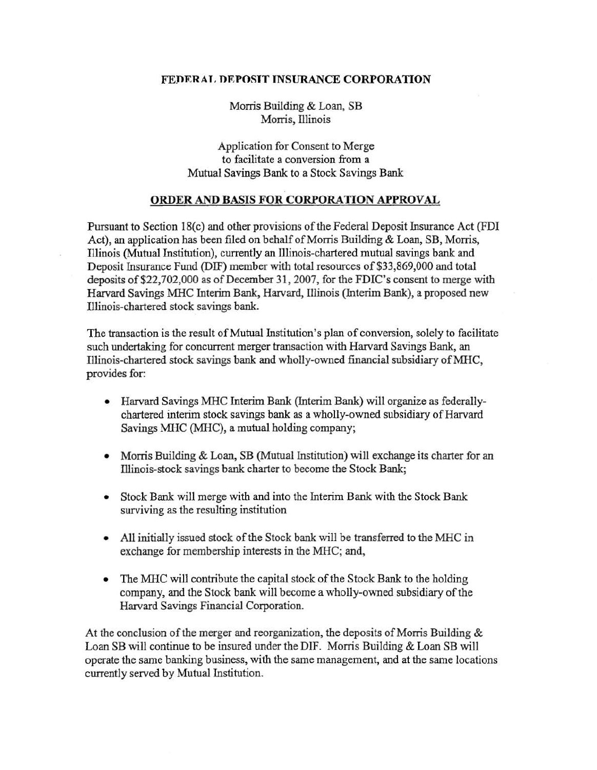## FEDERAL DEPOSIT INSURANCE CORPORATION

Morris Building & Loan, SB Morris, Illinois

Application for Consent to Merge to facilitate a conversion from a Mutual Savings Bank to a Stock Savings Bank

## ORDER AND BASIS FOR CORPORATION APPROVAL

Pursuant to Section 18(c) and other provisions of the Federal Deposit Insurance Act (FDI) Act), an application has been filed on behalf of Morris Building & Loan, SB, Morris, Illinois (Mutual Institution), currently an Illinois-chartered mutual savings bank and Deposit Insurance Fund (D1F) member with total resources of \$33,869,000 and total deposits of\$22,702,000 as of December 31, 2007, for the FDIC's consent to merge with Harvard Savings MHC Interim Bank, Harvard, Illinois (Interim Bank), a proposed new Illinois-chartered stock savings bank.

The transaction is the result of Mutual Institution's plan of conversion, solely to facilitate such undertaking for concurrent merger transaction with Harvard Savings Bank, an Illinois-chartered stock savings bank and wholly-owned financial subsidiary ofMHC, provides for:

- Harvard Savings MHC Interim Bank (Interim Bank) will organize as federallychartered interim stock savings bank as a wholly-owned subsidiary of Harvard Savings MHC (MHC), a mutual holding company;
- Morris Building & Loan, SB (Mutual Institution) will exchange its charter for an lllinois-stock savings bank charter to become the Stock Bank;
- Stock Bank will merge with and into the Interim Bank with the Stock Bank surviving as the resulting institution
- All initially issued stock of the Stock bank will be transferred to the MHC in exchange for membership interests in the MHC; and,
- The MHC will contribute the capital stock of the Stock Bank to the holding company, and the Stock bank will become a wholly-owned subsidiary of the Harvard Savings Financial Corporation.

At the conclusion of the merger and reorganization, the deposits of Morris Building & Loan SB will continue to be insured under the DIF. Morris Building & Loan SB will operate the same banking business, with the same management, and at the same locations currently served by Mutual Institution.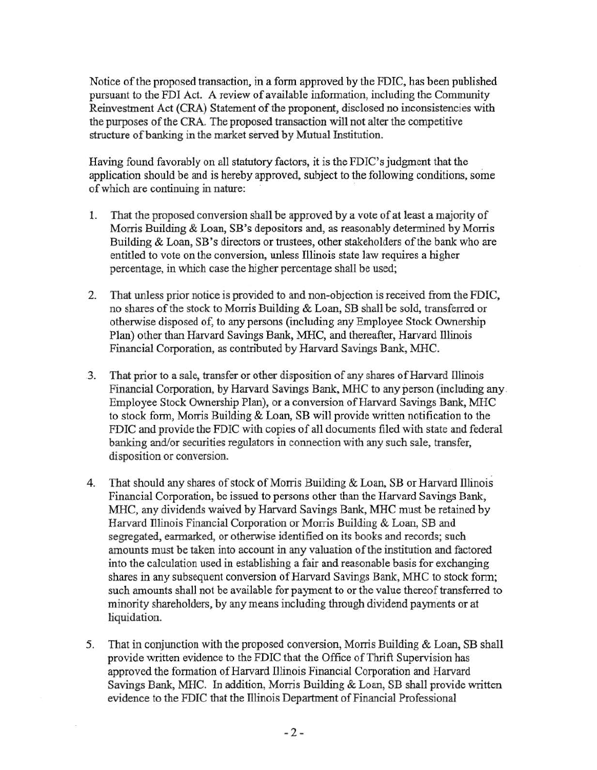Notice of the proposed transaction, in a form approved by the FDIC, has been published pursuant to the FDI Act. A review of available information, including the Community Reinvestment Act (CRA) Statement of the proponent, disclosed no inconsistencies with the purposes of the CRA. The proposed transaction will not alter the competitive structure of banking in the market served by Mutual Institution.

Having found favorably on all statutory factors, it is the FDIC's judgment that the application should be and is hereby approved, subject to the following conditions, some of which are continuing in nature:

- 1. That the proposed conversion shall be approved by a vote of at least a majority of Morris Building & Loan, SB's depositors and, as reasonably determined by Morris Building & Loan, SB's directors or trustees, other stakeholders of the bank who are entitled to vote on the conversion, unless Illinois state law requires a higher percentage, in which case the higher percentage shall be used;
- 2. That unless prior notice is provided to and non-objection is received from the FDIC, no shares of the stock to Morris Building & Loan, SB shall be sold, transferred or otherwise disposed of, to any persons (including any Employee Stock Ownership Plan) other than Harvard Savings Bank, MHC, and thereafter, Harvard Illinois Financial Corporation, as contributed by Harvard Savings Bank, MHC .
- .3. That prior to a sale, transfer or other disposition of any shares of Harvard illinois Financial Corporation, by Harvard Savings Bank, MHC to any person (including any. Employee Stock Ownership Plan), or a conversion of Harvard Savings Bank, MHC to stock form, Morris Building & Loan, SB will provide written notification to the FDIC and provide the FDIC with copies of all documents filed with state and federal banking and/or securities regulators in connection with any such sale, transfer, disposition or conversion.
- 4. That should any shares of stock of Morris Building & Loan, SB or Harvard Illinois Financial Corporation, be issued to persons other than the Harvard Savings Bank, MHC, any dividends waived by Harvard Savings Bank, MHC must be retained by Harvard lllinois Financial Corporation or Morris Building & Loan, SB and segregated, earmarked, or otherwise identified on its books and records; such amounts must be taken into account in any valuation of the institution and factored into the calculation used in establishing a fair and reasonable basis for exchanging shares in any subsequent conversion of Harvard Savings Bank, MHC to stock form; such amounts shall not be available for payment to or the value thereof transferred to minority shareholders, by any means including through dividend payments or at liquidation.
- 5. That in conjunction with the proposed conversion, Morris Building & Loan, SB shall provide written evidence to the FDIC that the Office of Thrift Supervision has approved the formation of Harvard Illinois Financial Corporation and Harvard Savings Bank, MHC. In addition, Morris Building & Loan, SB shall provide written evidence to the FDIC that the Illinois Department of Financial Professional